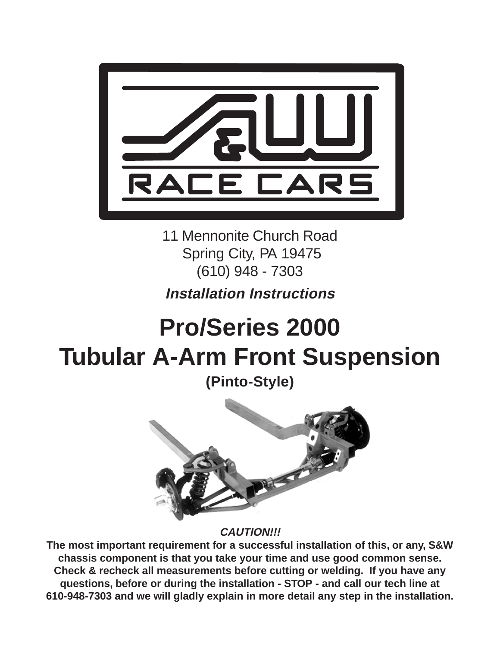

11 Mennonite Church Road Spring City, PA 19475 (610) 948 - 7303

# **Installation Instructions**

# **Pro/Series 2000 Tubular A-Arm Front Suspension**

**(Pinto-Style)**



**CAUTION!!!**

**The most important requirement for a successful installation of this, or any, S&W chassis component is that you take your time and use good common sense. Check & recheck all measurements before cutting or welding. If you have any questions, before or during the installation - STOP - and call our tech line at 610-948-7303 and we will gladly explain in more detail any step in the installation.**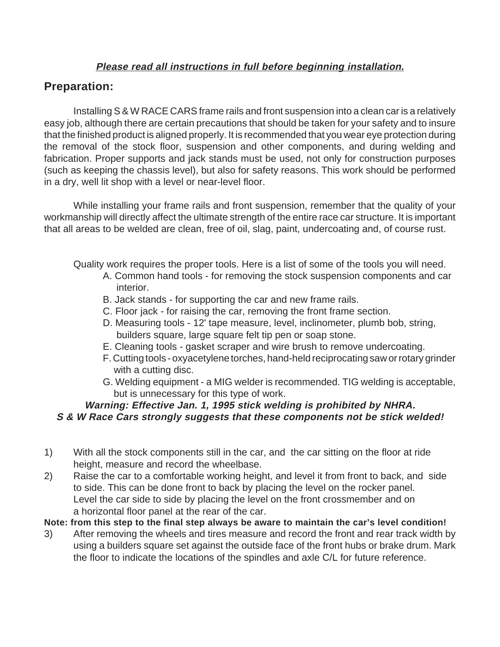#### **Please read all instructions in full before beginning installation.**

# **Preparation:**

Installing S & W RACE CARS frame rails and front suspension into a clean car is a relatively easy job, although there are certain precautions that should be taken for your safety and to insure that the finished product is aligned properly. It is recommended that you wear eye protection during the removal of the stock floor, suspension and other components, and during welding and fabrication. Proper supports and jack stands must be used, not only for construction purposes (such as keeping the chassis level), but also for safety reasons. This work should be performed in a dry, well lit shop with a level or near-level floor.

While installing your frame rails and front suspension, remember that the quality of your workmanship will directly affect the ultimate strength of the entire race car structure. It is important that all areas to be welded are clean, free of oil, slag, paint, undercoating and, of course rust.

Quality work requires the proper tools. Here is a list of some of the tools you will need.

- A. Common hand tools for removing the stock suspension components and car interior.
- B. Jack stands for supporting the car and new frame rails.
- C. Floor jack for raising the car, removing the front frame section.
- D. Measuring tools 12' tape measure, level, inclinometer, plumb bob, string, builders square, large square felt tip pen or soap stone.
- E. Cleaning tools gasket scraper and wire brush to remove undercoating.
- F. Cutting tools oxyacetylene torches, hand-held reciprocating saw or rotary grinder with a cutting disc.
- G. Welding equipment a MIG welder is recommended. TIG welding is acceptable, but is unnecessary for this type of work.

#### **Warning: Effective Jan. 1, 1995 stick welding is prohibited by NHRA. S & W Race Cars strongly suggests that these components not be stick welded!**

- 1) With all the stock components still in the car, and the car sitting on the floor at ride height, measure and record the wheelbase.
- 2) Raise the car to a comfortable working height, and level it from front to back, and side to side. This can be done front to back by placing the level on the rocker panel. Level the car side to side by placing the level on the front crossmember and on a horizontal floor panel at the rear of the car.

**Note: from this step to the final step always be aware to maintain the car's level condition!**

3) After removing the wheels and tires measure and record the front and rear track width by using a builders square set against the outside face of the front hubs or brake drum. Mark the floor to indicate the locations of the spindles and axle C/L for future reference.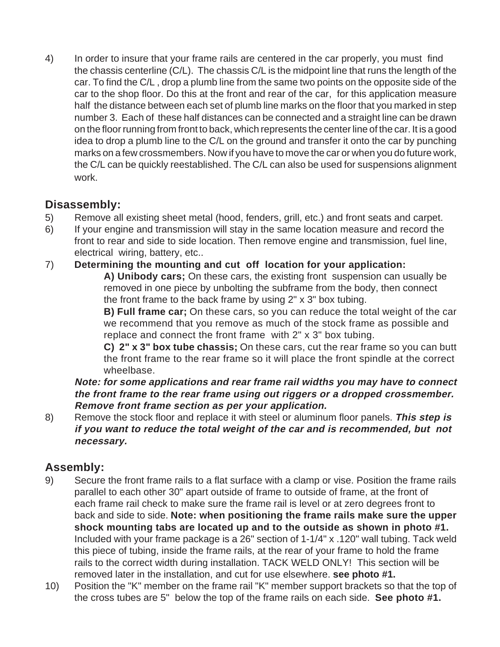4) In order to insure that your frame rails are centered in the car properly, you must find the chassis centerline (C/L). The chassis C/L is the midpoint line that runs the length of the car. To find the C/L , drop a plumb line from the same two points on the opposite side of the car to the shop floor. Do this at the front and rear of the car, for this application measure half the distance between each set of plumb line marks on the floor that you marked in step number 3. Each of these half distances can be connected and a straight line can be drawn on the floor running from front to back, which represents the center line of the car. It is a good idea to drop a plumb line to the C/L on the ground and transfer it onto the car by punching marks on a few crossmembers. Now if you have to move the car or when you do future work, the C/L can be quickly reestablished. The C/L can also be used for suspensions alignment work.

### **Disassembly:**

- 5) Remove all existing sheet metal (hood, fenders, grill, etc.) and front seats and carpet.
- 6) If your engine and transmission will stay in the same location measure and record the front to rear and side to side location. Then remove engine and transmission, fuel line, electrical wiring, battery, etc..

#### 7) **Determining the mounting and cut off location for your application:**

**A) Unibody cars;** On these cars, the existing front suspension can usually be removed in one piece by unbolting the subframe from the body, then connect the front frame to the back frame by using 2" x 3" box tubing.

**B) Full frame car;** On these cars, so you can reduce the total weight of the car we recommend that you remove as much of the stock frame as possible and replace and connect the front frame with 2" x 3" box tubing.

**C) 2" x 3" box tube chassis;** On these cars, cut the rear frame so you can butt the front frame to the rear frame so it will place the front spindle at the correct wheelbase.

**Note: for some applications and rear frame rail widths you may have to connect the front frame to the rear frame using out riggers or a dropped crossmember. Remove front frame section as per your application.**

8) Remove the stock floor and replace it with steel or aluminum floor panels. **This step is if you want to reduce the total weight of the car and is recommended, but not necessary.**

## **Assembly:**

- 9) Secure the front frame rails to a flat surface with a clamp or vise. Position the frame rails parallel to each other 30" apart outside of frame to outside of frame, at the front of each frame rail check to make sure the frame rail is level or at zero degrees front to back and side to side. **Note: when positioning the frame rails make sure the upper shock mounting tabs are located up and to the outside as shown in photo #1.** Included with your frame package is a 26" section of 1-1/4" x .120" wall tubing. Tack weld this piece of tubing, inside the frame rails, at the rear of your frame to hold the frame rails to the correct width during installation. TACK WELD ONLY! This section will be removed later in the installation, and cut for use elsewhere. **see photo #1.**
- 10) Position the "K" member on the frame rail "K" member support brackets so that the top of the cross tubes are 5" below the top of the frame rails on each side. **See photo #1.**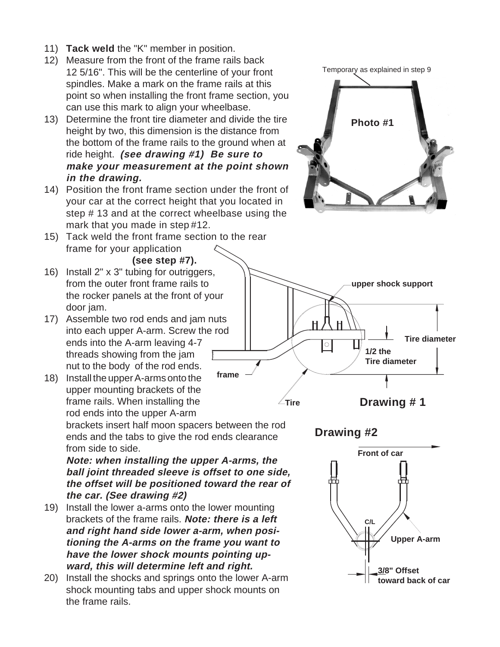- 11) **Tack weld** the "K" member in position.
- 12) Measure from the front of the frame rails back 12 5/16". This will be the centerline of your front spindles. Make a mark on the frame rails at this point so when installing the front frame section, you can use this mark to align your wheelbase.
- 13) Determine the front tire diameter and divide the tire height by two, this dimension is the distance from the bottom of the frame rails to the ground when at ride height. **(see drawing #1) Be sure to make your measurement at the point shown in the drawing.**
- 14) Position the front frame section under the front of your car at the correct height that you located in step # 13 and at the correct wheelbase using the mark that you made in step #12.
- 15) Tack weld the front frame section to the rear frame for your application

**Photo #1**

Temporary as explained in step 9



- 16) Install 2" x 3" tubing for outriggers, from the outer front frame rails to the rocker panels at the front of your door jam.
- 17) Assemble two rod ends and jam nuts into each upper A-arm. Screw the rod ends into the A-arm leaving 4-7 threads showing from the jam nut to the body of the rod ends. **frame**
- 18) Install the upper A-arms onto the upper mounting brackets of the frame rails. When installing the rod ends into the upper A-arm brackets insert half moon spacers between the rod

ends and the tabs to give the rod ends clearance from side to side.

**Note: when installing the upper A-arms, the ball joint threaded sleeve is offset to one side, the offset will be positioned toward the rear of the car. (See drawing #2)**

- 19) Install the lower a-arms onto the lower mounting brackets of the frame rails. **Note: there is a left and right hand side lower a-arm, when positioning the A-arms on the frame you want to have the lower shock mounts pointing upward, this will determine left and right.**
- 20) Install the shocks and springs onto the lower A-arm shock mounting tabs and upper shock mounts on the frame rails.





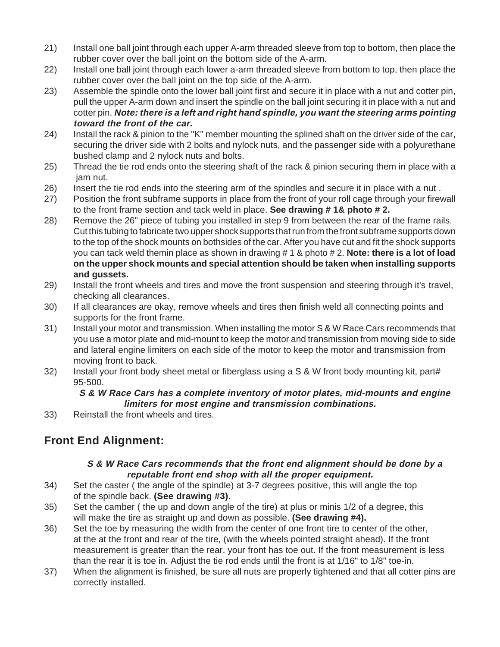- 21) Install one ball joint through each upper A-arm threaded sleeve from top to bottom, then place the rubber cover over the ball joint on the bottom side of the A-arm.
- 22) Install one ball joint through each lower a-arm threaded sleeve from bottom to top, then place the rubber cover over the ball joint on the top side of the A-arm.
- 23) Assemble the spindle onto the lower ball joint first and secure it in place with a nut and cotter pin, pull the upper A-arm down and insert the spindle on the ball joint securing it in place with a nut and cotter pin. **Note: there is a left and right hand spindle, you want the steering arms pointing toward the front of the car.**
- 24) Install the rack & pinion to the "K" member mounting the splined shaft on the driver side of the car, securing the driver side with 2 bolts and nylock nuts, and the passenger side with a polyurethane bushed clamp and 2 nylock nuts and bolts.
- 25) Thread the tie rod ends onto the steering shaft of the rack & pinion securing them in place with a jam nut.
- 26) Insert the tie rod ends into the steering arm of the spindles and secure it in place with a nut .
- 27) Position the front subframe supports in place from the front of your roll cage through your firewall to the front frame section and tack weld in place. **See drawing # 1& photo # 2.**
- 28) Remove the 26" piece of tubing you installed in step 9 from between the rear of the frame rails. Cut this tubing to fabricate two upper shock supports that run from the front subframe supports down to the top of the shock mounts on bothsides of the car. After you have cut and fit the shock supports you can tack weld themin place as shown in drawing # 1 & photo # 2. **Note: there is a lot of load on the upper shock mounts and special attention should be taken when installing supports and gussets.**
- 29) Install the front wheels and tires and move the front suspension and steering through it's travel, checking all clearances.
- 30) If all clearances are okay, remove wheels and tires then finish weld all connecting points and supports for the front frame.
- 31) Install your motor and transmission. When installing the motor S & W Race Cars recommends that you use a motor plate and mid-mount to keep the motor and transmission from moving side to side and lateral engine limiters on each side of the motor to keep the motor and transmission from moving front to back.
- 32) Install your front body sheet metal or fiberglass using a S & W front body mounting kit, part# 95-500.

#### **S & W Race Cars has a complete inventory of motor plates, mid-mounts and engine limiters for most engine and transmission combinations.**

33) Reinstall the front wheels and tires.

# **Front End Alignment:**

#### **S & W Race Cars recommends that the front end alignment should be done by a reputable front end shop with all the proper equipment.**

- 34) Set the caster ( the angle of the spindle) at 3-7 degrees positive, this will angle the top of the spindle back. **(See drawing #3).**
- 35) Set the camber ( the up and down angle of the tire) at plus or minis 1/2 of a degree, this will make the tire as straight up and down as possible. **(See drawing #4).**
- 36) Set the toe by measuring the width from the center of one front tire to center of the other, at the at the front and rear of the tire, (with the wheels pointed straight ahead). If the front measurement is greater than the rear, your front has toe out. If the front measurement is less than the rear it is toe in. Adjust the tie rod ends until the front is at 1/16" to 1/8" toe-in.
- 37) When the alignment is finished, be sure all nuts are properly tightened and that all cotter pins are correctly installed.